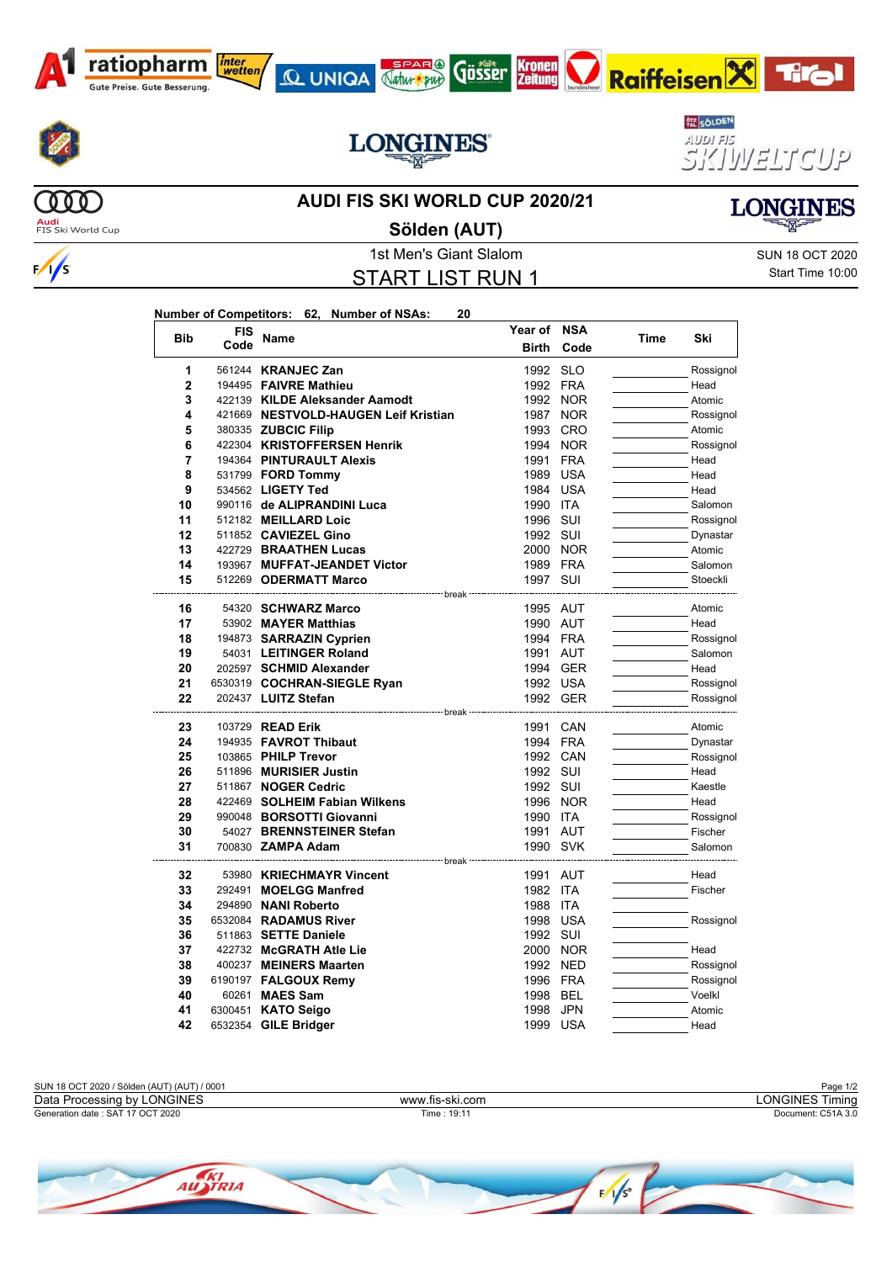



 $\frac{1}{s}$ 



 $000)$ 

## **AUDI FIS SKI WORLD CUP 2020/21**

**QUNIQA Aztur Kronen** 

**LONGINES** 



**Audi**<br>FIS Ski World Cup

1st Men's Giant Slalom Sun 18 OCT 2020 START LIST RUN 1 **Sölden (AUT)**

**Year of NSA**

Start Time 10:00

| Number of Competitors: 62, Number of NSAs: |  |  |
|--------------------------------------------|--|--|
|                                            |  |  |

| <b>Bib</b>   | FIS  | Name                                              | Year of              | NSA        | Time | Ski                    |
|--------------|------|---------------------------------------------------|----------------------|------------|------|------------------------|
|              | Code |                                                   | <b>Birth</b>         | Code       |      |                        |
| 1            |      | 561244 KRANJEC Zan                                | 1992                 | <b>SLO</b> |      | Rossignol              |
| $\mathbf{2}$ |      | 194495 FAIVRE Mathieu                             | 1992 FRA             |            |      | Head                   |
| 3            |      | 422139 KILDE Aleksander Aamodt                    | 1992 NOR             |            |      | Atomic                 |
| 4            |      | 421669 NESTVOLD-HAUGEN Leif Kristian              |                      | 1987 NOR   |      | Rossignol              |
| 5            |      | 380335 ZUBCIC Filip                               | 1993                 | <b>CRO</b> |      | Atomic                 |
| 6            |      | 422304 KRISTOFFERSEN Henrik                       | 1994 NOR             |            |      | Rossignol              |
| 7            |      | 194364 PINTURAULT Alexis                          | 1991                 | <b>FRA</b> |      | Head                   |
| 8            |      | 531799 <b>FORD Tommy</b>                          | 1989                 | <b>USA</b> |      | Head                   |
| 9            |      | 534562 LIGETY Ted                                 | 1984 USA             |            |      | Head                   |
| 10           |      | 990116 de ALIPRANDINI Luca                        | 1990 ITA             |            |      | Salomon                |
| 11           |      | 512182 MEILLARD Loic                              | 1996 SUI             |            |      | Rossignol              |
| 12           |      | 511852 CAVIEZEL Gino                              | 1992 SUI             |            |      | Dynastar               |
| 13           |      | 422729 BRAATHEN Lucas                             | 2000 NOR             |            |      | Atomic                 |
| 14           |      | 193967 MUFFAT-JEANDET Victor                      | 1989 FRA             |            |      | Salomon                |
| 15           |      | 512269 ODERMATT Marco                             | 1997 SUI             |            |      | Stoeckli               |
|              |      | ------------------ break                          |                      |            |      |                        |
| 16<br>17     |      | 54320 SCHWARZ Marco<br>53902 MAYER Matthias       | 1995 AUT<br>1990 AUT |            |      | Atomic<br>Head         |
| 18           |      |                                                   | 1994 FRA             |            |      | Rossignol              |
| 19           |      | 194873 SARRAZIN Cyprien<br>54031 LEITINGER Roland | 1991 AUT             |            |      | Salomon                |
| 20           |      | 202597 SCHMID Alexander                           | 1994 GER             |            |      | Head                   |
| 21           |      | 6530319 COCHRAN-SIEGLE Ryan                       | 1992 USA             |            |      | Rossignol              |
| 22           |      | 202437 LUITZ Stefan                               | 1992 GER             |            |      | Rossignol              |
|              |      |                                                   |                      |            |      |                        |
| 23           |      | 103729 <b>READ Erik</b>                           | 1991 CAN             |            |      | Atomic                 |
| 24           |      | 194935 FAVROT Thibaut                             | 1994 FRA             |            |      | Dynastar               |
| 25           |      | 103865 PHILP Trevor                               | 1992 CAN             |            |      | Rossignol              |
| 26           |      | 511896 MURISIER Justin                            | 1992 SUI             |            |      | Head                   |
| 27           |      | 511867 NOGER Cedric                               | 1992 SUI             |            |      | Kaestle                |
| 28           |      | 422469 SOLHEIM Fabian Wilkens                     |                      | 1996 NOR   |      | Head                   |
| 29           |      | 990048 BORSOTTI Giovanni                          | 1990 ITA             |            |      | Rossignol              |
| 30           |      | 54027 BRENNSTEINER Stefan                         | 1991 AUT             |            |      | Fischer                |
| 31           |      | 700830 ZAMPA Adam                                 | 1990 SVK             |            |      | Salomon                |
|              |      |                                                   |                      |            |      |                        |
| 32           |      | 53980 KRIECHMAYR Vincent                          | 1991 AUT             |            |      | Head                   |
| 33           |      | 292491 MOELGG Manfred                             | 1982 ITA             |            |      | Fischer                |
| 34<br>35     |      | 294890 NANI Roberto<br>6532084 RADAMUS River      | 1988 ITA<br>1998 USA |            |      |                        |
| 36           |      | 511863 SETTE Daniele                              | 1992 SUI             |            |      | Rossignol              |
| 37           |      |                                                   |                      |            |      | Head                   |
| 38           |      | 422732 McGRATH Atle Lie<br>400237 MEINERS Maarten | 2000 NOR<br>1992 NED |            |      |                        |
| 39           |      | 6190197 FALGOUX Remy                              | 1996 FRA             |            |      | Rossignol<br>Rossignol |
| 40           |      | 60261 MAES Sam                                    | 1998                 | <b>BEL</b> |      | Voelkl                 |
| 41           |      | 6300451 KATO Seigo                                | 1998                 | <b>JPN</b> |      | Atomic                 |
| 42           |      | 6532354 GILE Bridger                              | 1999 USA             |            |      | Head                   |
|              |      |                                                   |                      |            |      |                        |